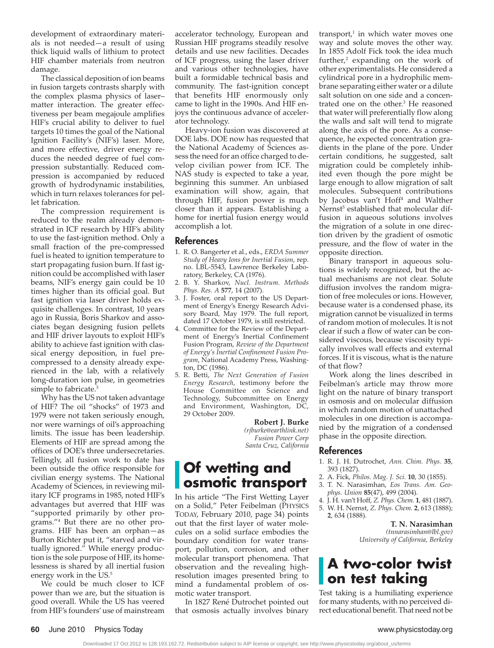development of extraordinary materials is not needed—a result of using thick liquid walls of lithium to protect HIF chamber materials from neutron damage.

The classical deposition of ion beams in fusion targets contrasts sharply with the complex plasma physics of laser– matter interaction. The greater effectiveness per beam megajoule amplifies HIF's crucial ability to deliver to fuel targets 10 times the goal of the National Ignition Facility's (NIF's) laser. More, and more effective, driver energy reduces the needed degree of fuel compression substantially. Reduced compression is accompanied by reduced growth of hydrodynamic instabilities, which in turn relaxes tolerances for pellet fabrication.

The compression requirement is reduced to the realm already demonstrated in ICF research by HIF's ability to use the fast-ignition method. Only a small fraction of the pre-compressed fuel is heated to ignition temperature to start propagating fusion burn. If fast ignition could be accomplished with laser beams, NIF's energy gain could be 10 times higher than its official goal. But fast ignition via laser driver holds exquisite challenges. In contrast, 10 years ago in Russia, Boris Sharkov and associates began designing fusion pellets and HIF driver layouts to exploit HIF's ability to achieve fast ignition with classical energy deposition, in fuel precompressed to a density already experienced in the lab, with a relatively long-duration ion pulse, in geometries simple to fabricate.<sup>3</sup>

Why has the US not taken advantage of HIF? The oil "shocks" of 1973 and 1979 were not taken seriously enough, nor were warnings of oil's approaching limits. The issue has been leadership. Elements of HIF are spread among the offices of DOE's three undersecretaries. Tellingly, all fusion work to date has been outside the office responsible for civilian energy systems. The National Academy of Sciences, in reviewing military ICF programs in 1985, noted HIF's advantages but averred that HIF was "supported primarily by other programs."4 But there are no other programs. HIF has been an orphan—as Burton Richter put it, "starved and virtually ignored." While energy production is the sole purpose of HIF, its homelessness is shared by all inertial fusion energy work in the US.5

We could be much closer to ICF power than we are, but the situation is good overall. While the US has veered from HIF's founders' use of mainstream accelerator technology, European and Russian HIF programs steadily resolve details and use new facilities. Decades of ICF progress, using the laser driver and various other technologies, have built a formidable technical basis and community. The fast-ignition concept that benefits HIF enormously only came to light in the 1990s. And HIF enjoys the continuous advance of accelerator technology.

Heavy-ion fusion was discovered at DOE labs. DOE now has requested that the National Academy of Sciences assess the need for an office charged to develop civilian power from ICF. The NAS study is expected to take a year, beginning this summer. An unbiased examination will show, again, that through HIF, fusion power is much closer than it appears. Establishing a home for inertial fusion energy would accomplish a lot.

#### **References**

- 1. R. O. Bangerter et al., eds., *ERDA Summer Study of Heavy Ions for Inertial Fusion*, rep. no. LBL-5543, Lawrence Berkeley Laboratory, Berkeley, CA (1976).
- 2. B. Y. Sharkov, *Nucl. Instrum. Methods Phys. Res. A* **577**, 14 (2007).
- 3. J. Foster, oral report to the US Department of Energy's Energy Research Advisory Board, May 1979. The full report, dated 17 October 1979, is still restricted.
- 4. Committee for the Review of the Department of Energy's Inertial Confinement Fusion Program, *Review of the Department of Energy's Inertial Confinement Fusion Program*, National Academy Press, Washington, DC (1986).
- 5. R. Betti, *The Next Generation of Fusion Energy Research*, testimony before the House Committee on Science and Technology, Subcommittee on Energy and Environment, Washington, DC, 29 October 2009.

**Robert J. Burke** *(rjburke@earthlink.net) Fusion Power Corp Santa Cruz, California*

### **Of wetting and osmotic transport**

In his article "The First Wetting Layer on a Solid," Peter Feibelman (PHYSICS TODAY, February 2010, page 34) points out that the first layer of water molecules on a solid surface embodies the boundary condition for water transport, pollution, corrosion, and other molecular transport phenomena. That observation and the revealing high resolution images presented bring to mind a fundamental problem of osmotic water transport.

In 1827 René Dutrochet pointed out that osmosis actually involves binary

transport, $1$  in which water moves one way and solute moves the other way. In 1855 Adolf Fick took the idea much further,<sup>2</sup> expanding on the work of other experimentalists. He considered a cylindrical pore in a hydrophilic membrane separating either water or a dilute salt solution on one side and a concentrated one on the other.<sup>3</sup> He reasoned that water will preferentially flow along the walls and salt will tend to migrate along the axis of the pore. As a consequence, he expected concentration gradients in the plane of the pore. Under certain conditions, he suggested, salt migration could be completely inhibited even though the pore might be large enough to allow migration of salt molecules. Subsequent contributions by Jacobus van't Hoff4 and Walther Nernst<sup>5</sup> established that molecular diffusion in aqueous solutions involves the migration of a solute in one direction driven by the gradient of osmotic pressure, and the flow of water in the opposite direction.

Binary transport in aqueous solutions is widely recognized, but the actual mechanisms are not clear. Solute diffusion involves the random migration of free molecules or ions. However, because water is a condensed phase, its migration cannot be visualized in terms of random motion of molecules. It is not clear if such a flow of water can be considered viscous, because viscosity typically involves wall effects and external forces. If it is viscous, what is the nature of that flow?

Work along the lines described in Feibelman's article may throw more light on the nature of binary transport in osmosis and on molecular diffusion in which random motion of unattached molecules in one direction is accompanied by the migration of a condensed phase in the opposite direction.

#### **References**

- 1. R. J. H. Dutrochet, *Ann. Chim. Phys.* **35**, 393 (1827).
- 2. A. Fick, *Philos. Mag. J. Sci.* **10**, 30 (1855).
- 3. T. N. Narasimhan, *Eos Trans. Am. Geophys. Union* **85**(47), 499 (2004).
- 4. J. H. van't Hoff, *Z. Phys. Chem.* **1**, 481 (1887).
- 5. W. H. Nernst, *Z. Phys. Chem.* **2**, 613 (1888); **2**, 634 (1888).

**T. N. Narasimhan** *(tnnarasimhan@lbl.gov) University of California, Berkeley*

## **A two-color twist on test taking**

Test taking is a humiliating experience for many students, with no perceived direct educational benefit. That need not be